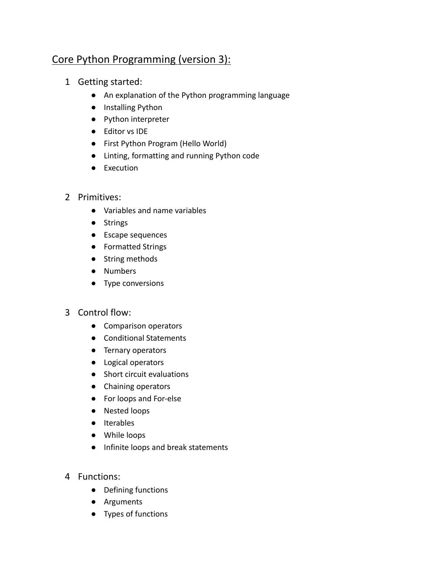# Core Python Programming (version 3):

- 1 Getting started:
	- An explanation of the Python programming language
	- Installing Python
	- Python interpreter
	- Editor vs IDE
	- First Python Program (Hello World)
	- Linting, formatting and running Python code
	- Execution
- 2 Primitives:
	- Variables and name variables
	- Strings
	- Escape sequences
	- Formatted Strings
	- String methods
	- Numbers
	- Type conversions
- 3 Control flow:
	- Comparison operators
	- Conditional Statements
	- Ternary operators
	- Logical operators
	- Short circuit evaluations
	- Chaining operators
	- For loops and For-else
	- Nested loops
	- Iterables
	- While loops
	- Infinite loops and break statements
- 4 Functions:
	- Defining functions
	- Arguments
	- Types of functions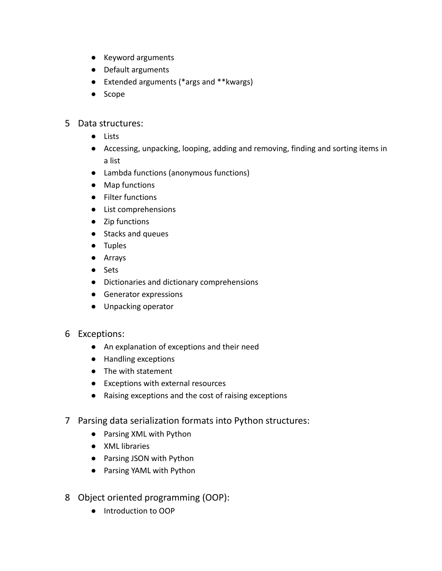- Keyword arguments
- Default arguments
- Extended arguments (\*args and \*\*kwargs)
- Scope

## 5 Data structures:

- Lists
- Accessing, unpacking, looping, adding and removing, finding and sorting items in a list
- Lambda functions (anonymous functions)
- Map functions
- Filter functions
- List comprehensions
- Zip functions
- Stacks and queues
- Tuples
- Arrays
- Sets
- Dictionaries and dictionary comprehensions
- Generator expressions
- Unpacking operator

### 6 Exceptions:

- An explanation of exceptions and their need
- Handling exceptions
- The with statement
- Exceptions with external resources
- Raising exceptions and the cost of raising exceptions
- 7 Parsing data serialization formats into Python structures:
	- Parsing XML with Python
	- XML libraries
	- Parsing JSON with Python
	- Parsing YAML with Python
- 8 Object oriented programming (OOP):
	- Introduction to OOP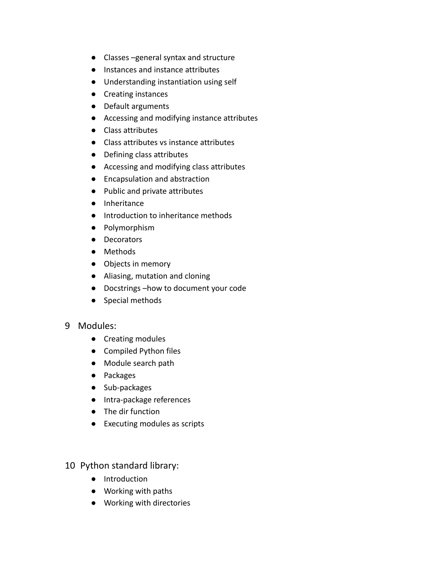- Classes –general syntax and structure
- Instances and instance attributes
- Understanding instantiation using self
- Creating instances
- Default arguments
- Accessing and modifying instance attributes
- Class attributes
- Class attributes vs instance attributes
- Defining class attributes
- Accessing and modifying class attributes
- Encapsulation and abstraction
- Public and private attributes
- Inheritance
- Introduction to inheritance methods
- Polymorphism
- Decorators
- Methods
- Objects in memory
- Aliasing, mutation and cloning
- Docstrings –how to document your code
- Special methods

### 9 Modules:

- Creating modules
- Compiled Python files
- Module search path
- Packages
- Sub-packages
- Intra-package references
- The dir function
- Executing modules as scripts

### 10 Python standard library:

- Introduction
- Working with paths
- Working with directories